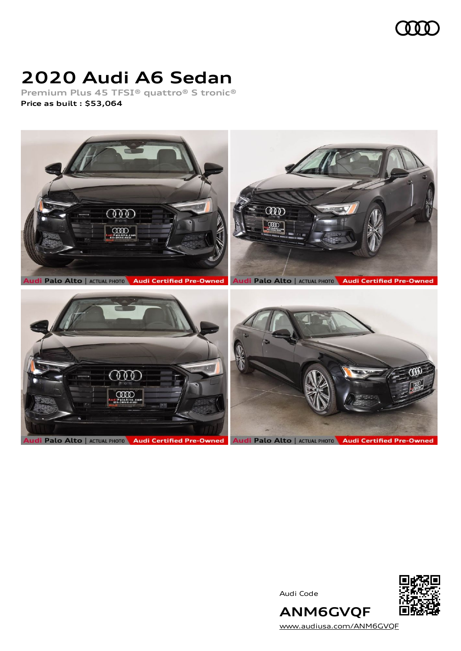

# **2020 Audi A6 Sedan**

**Premium Plus 45 TFSI® quattro® S tronic® Price as built [:](#page-8-0) \$53,064**



Audi Code



**ANM6GVQF** [www.audiusa.com/ANM6GVQF](https://www.audiusa.com/ANM6GVQF)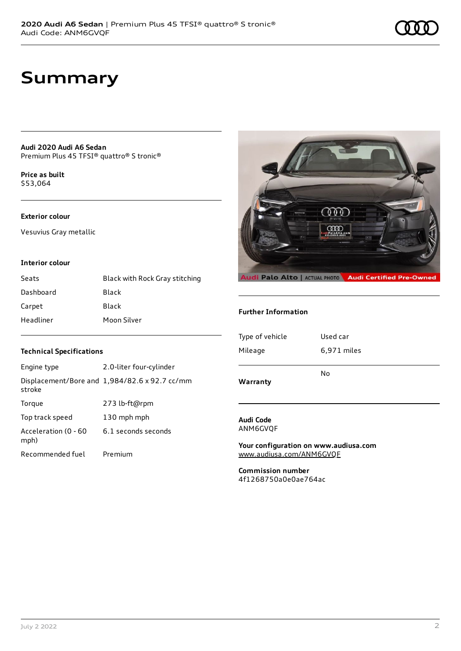## **Summary**

**Audi 2020 Audi A6 Sedan** Premium Plus 45 TFSI® quattro® S tronic®

**Price as buil[t](#page-8-0)** \$53,064

### **Exterior colour**

Vesuvius Gray metallic

#### **Interior colour**

| Seats     | Black with Rock Gray stitching |
|-----------|--------------------------------|
| Dashboard | Black                          |
| Carpet    | Black                          |
| Headliner | Moon Silver                    |

### **Technical Specifications**

| Engine type                  | 2.0-liter four-cylinder                       |
|------------------------------|-----------------------------------------------|
| stroke                       | Displacement/Bore and 1,984/82.6 x 92.7 cc/mm |
| Torque                       | 273 lb-ft@rpm                                 |
| Top track speed              | 130 mph mph                                   |
| Acceleration (0 - 60<br>mph) | 6.1 seconds seconds                           |
| Recommended fuel             | Premium                                       |



#### **Further Information**

| Type of vehicle | Used car    |
|-----------------|-------------|
| Mileage         | 6,971 miles |
| Warranty        | No          |

#### **Audi Code** ANM6GVQF

**Your configuration on www.audiusa.com** [www.audiusa.com/ANM6GVQF](https://www.audiusa.com/ANM6GVQF)

**Commission number** 4f1268750a0e0ae764ac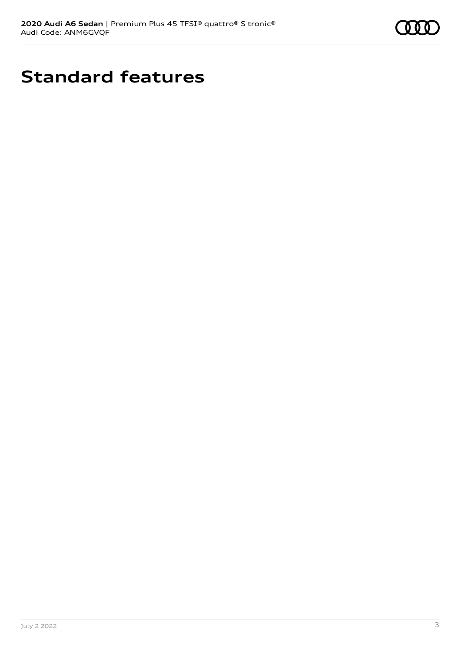

# **Standard features**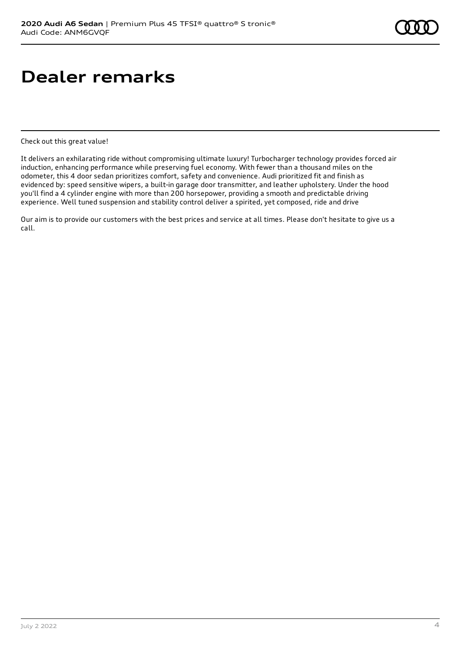# **Dealer remarks**

Check out this great value!

It delivers an exhilarating ride without compromising ultimate luxury! Turbocharger technology provides forced air induction, enhancing performance while preserving fuel economy. With fewer than a thousand miles on the odometer, this 4 door sedan prioritizes comfort, safety and convenience. Audi prioritized fit and finish as evidenced by: speed sensitive wipers, a built-in garage door transmitter, and leather upholstery. Under the hood you'll find a 4 cylinder engine with more than 200 horsepower, providing a smooth and predictable driving experience. Well tuned suspension and stability control deliver a spirited, yet composed, ride and drive

Our aim is to provide our customers with the best prices and service at all times. Please don't hesitate to give us a call.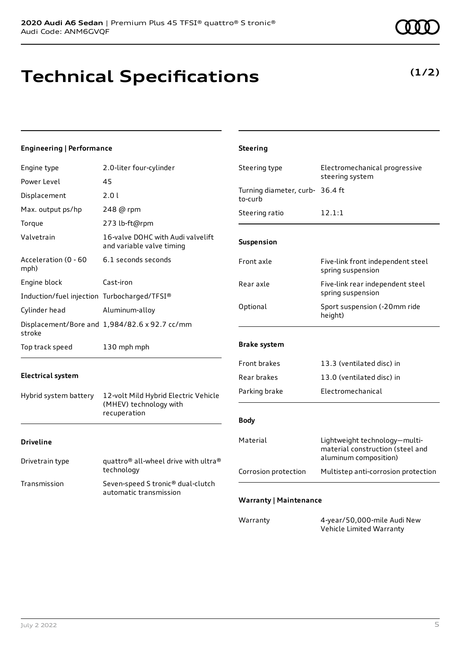## **Technical Specifications**

### **Engineering | Performance**

| Engine type                                 | 2.0-liter four-cylinder                                                    | Steering type                              | Electromechanical progressive<br>steering system                                           |
|---------------------------------------------|----------------------------------------------------------------------------|--------------------------------------------|--------------------------------------------------------------------------------------------|
| Power Level                                 | 45                                                                         |                                            |                                                                                            |
| Displacement                                | 2.01                                                                       | Turning diameter, curb- 36.4 ft<br>to-curb |                                                                                            |
| Max. output ps/hp                           | 248 @ rpm                                                                  | Steering ratio                             | 12.1:1                                                                                     |
| Torque                                      | 273 lb-ft@rpm                                                              |                                            |                                                                                            |
| Valvetrain                                  | 16-valve DOHC with Audi valvelift<br>and variable valve timing             | Suspension                                 |                                                                                            |
| Acceleration (0 - 60<br>mph)                | 6.1 seconds seconds                                                        | Front axle                                 | Five-link front independent steel<br>spring suspension                                     |
| Engine block                                | Cast-iron                                                                  | Rear axle                                  | Five-link rear independent steel                                                           |
| Induction/fuel injection Turbocharged/TFSI® |                                                                            |                                            | spring suspension                                                                          |
| Cylinder head                               | Aluminum-alloy                                                             | Optional                                   | Sport suspension (-20mm ride<br>height)                                                    |
| stroke                                      | Displacement/Bore and 1,984/82.6 x 92.7 cc/mm                              |                                            |                                                                                            |
| Top track speed                             | 130 mph mph                                                                | <b>Brake system</b>                        |                                                                                            |
|                                             |                                                                            | Front brakes                               | 13.3 (ventilated disc) in                                                                  |
| <b>Electrical system</b>                    |                                                                            | Rear brakes                                | 13.0 (ventilated disc) in                                                                  |
| Hybrid system battery                       | 12-volt Mild Hybrid Electric Vehicle                                       | Parking brake                              | Electromechanical                                                                          |
| (MHEV) technology with<br>recuperation      |                                                                            | <b>Body</b>                                |                                                                                            |
| <b>Driveline</b>                            |                                                                            | Material                                   | Lightweight technology-multi-<br>material construction (steel and<br>aluminum composition) |
| Drivetrain type                             | quattro <sup>®</sup> all-wheel drive with ultra <sup>®</sup><br>technology | Corrosion protection                       | Multistep anti-corrosion protection                                                        |
| Transmission                                | Seven-speed S tronic® dual-clutch<br>automatic transmission                |                                            |                                                                                            |
|                                             |                                                                            | <b>Warranty   Maintenance</b>              |                                                                                            |
|                                             |                                                                            | Warranty                                   | 4-year/50,000-mile Audi New<br>Vehicle Limited Warranty                                    |

**Steering**

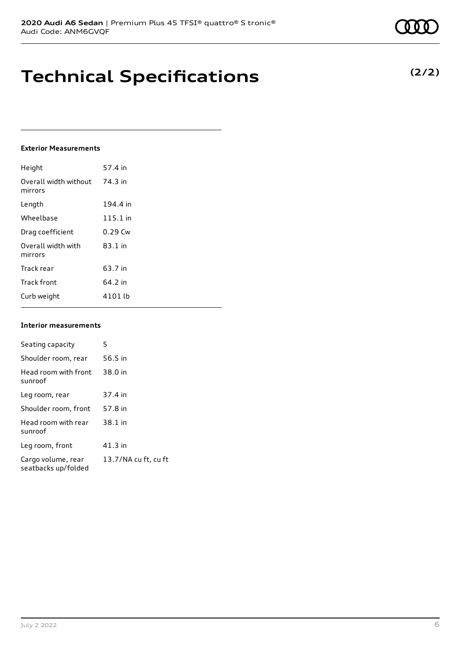**Technical Specifications**

### **Exterior Measurements**

| Height                           | 57.4 in    |
|----------------------------------|------------|
| Overall width without<br>mirrors | 74.3 in    |
| Length                           | 194.4 in   |
| Wheelbase                        | $115.1$ in |
| Drag coefficient                 | $0.29$ Cw  |
| Overall width with<br>mirrors    | $83.1$ in  |
| Track rear                       | 63.7 in    |
| <b>Track front</b>               | 64.2 in    |
| Curb weight                      | 4101 lb    |

#### **Interior measurements**

| Seating capacity                          | 5                    |
|-------------------------------------------|----------------------|
| Shoulder room, rear                       | 56.5 in              |
| Head room with front<br>sunroof           | 38.0 in              |
| Leg room, rear                            | 37.4 in              |
| Shoulder room, front                      | 57.8 in              |
| Head room with rear<br>sunroof            | 38.1 in              |
| Leg room, front                           | $41.3$ in            |
| Cargo volume, rear<br>seatbacks up/folded | 13.7/NA cu ft, cu ft |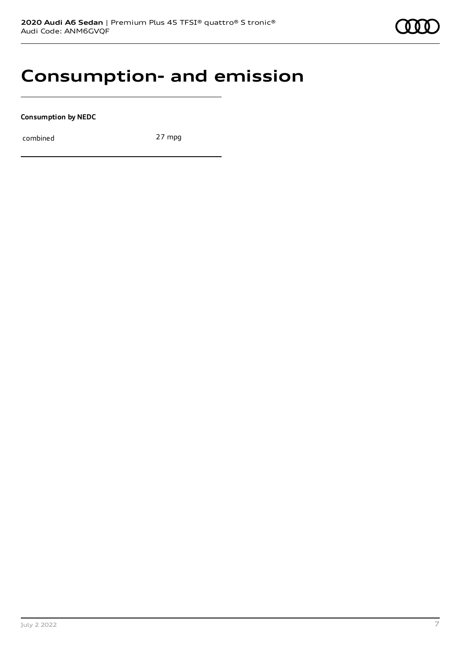### **Consumption- and emission**

**Consumption by NEDC**

combined 27 mpg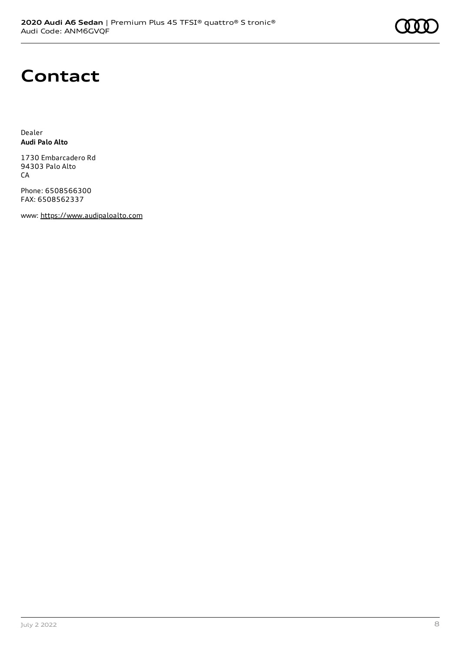## **Contact**

Dealer **Audi Palo Alto**

1730 Embarcadero Rd 94303 Palo Alto CA

Phone: 6508566300 FAX: 6508562337

www: [https://www.audipaloalto.com](https://www.audipaloalto.com/)